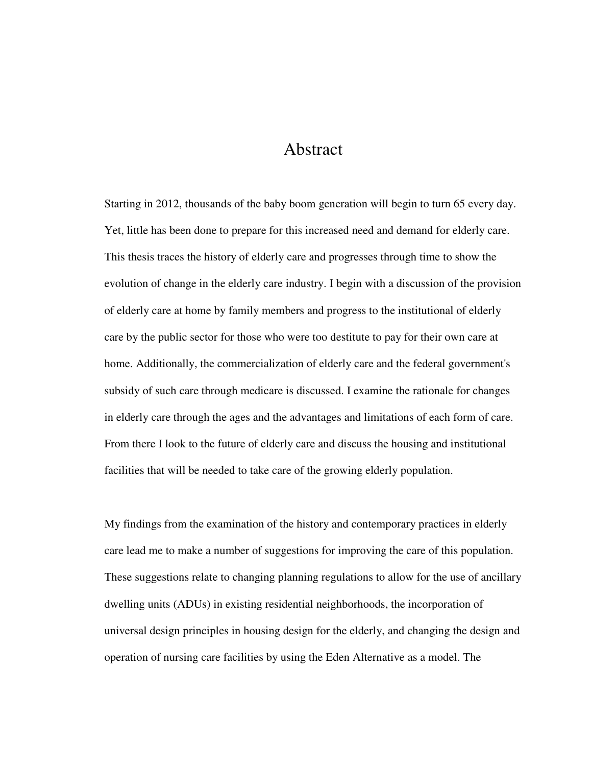## Abstract

Starting in 2012, thousands of the baby boom generation will begin to turn 65 every day. Yet, little has been done to prepare for this increased need and demand for elderly care. This thesis traces the history of elderly care and progresses through time to show the evolution of change in the elderly care industry. I begin with a discussion of the provision of elderly care at home by family members and progress to the institutional of elderly care by the public sector for those who were too destitute to pay for their own care at home. Additionally, the commercialization of elderly care and the federal government's subsidy of such care through medicare is discussed. I examine the rationale for changes in elderly care through the ages and the advantages and limitations of each form of care. From there I look to the future of elderly care and discuss the housing and institutional facilities that will be needed to take care of the growing elderly population.

My findings from the examination of the history and contemporary practices in elderly care lead me to make a number of suggestions for improving the care of this population. These suggestions relate to changing planning regulations to allow for the use of ancillary dwelling units (ADUs) in existing residential neighborhoods, the incorporation of universal design principles in housing design for the elderly, and changing the design and operation of nursing care facilities by using the Eden Alternative as a model. The